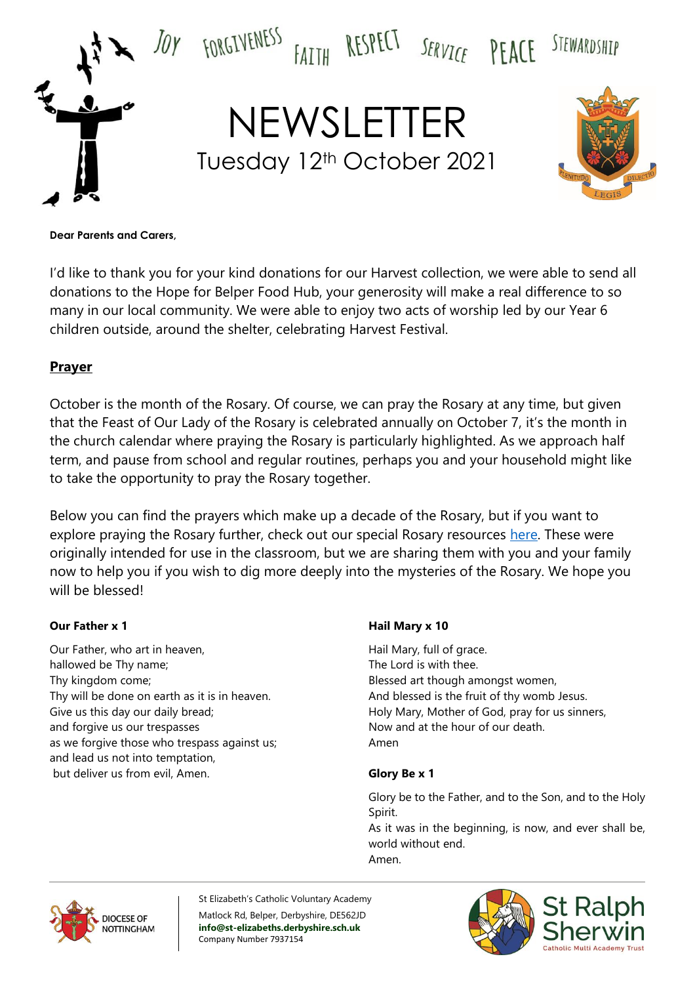

#### **Dear Parents and Carers,**

I'd like to thank you for your kind donations for our Harvest collection, we were able to send all donations to the Hope for Belper Food Hub, your generosity will make a real difference to so many in our local community. We were able to enjoy two acts of worship led by our Year 6 children outside, around the shelter, celebrating Harvest Festival.

#### **Prayer**

October is the month of the Rosary. Of course, we can pray the Rosary at any time, but given that the Feast of Our Lady of the Rosary is celebrated annually on October 7, it's the month in the church calendar where praying the Rosary is particularly highlighted. As we approach half term, and pause from school and regular routines, perhaps you and your household might like to take the opportunity to pray the Rosary together.

Below you can find the prayers which make up a decade of the Rosary, but if you want to explore praying the Rosary further, check out our special Rosary resources [here.](https://www.tentenresources.co.uk/prayers-for-home/prayers-for-home-joyful-mysteries/) These were originally intended for use in the classroom, but we are sharing them with you and your family now to help you if you wish to dig more deeply into the mysteries of the Rosary. We hope you will be blessed!

#### **Our Father x 1**

Our Father, who art in heaven, hallowed be Thy name; Thy kingdom come; Thy will be done on earth as it is in heaven. Give us this day our daily bread; and forgive us our trespasses as we forgive those who trespass against us; and lead us not into temptation, but deliver us from evil, Amen.

#### **Hail Mary x 10**

Hail Mary, full of grace. The Lord is with thee. Blessed art though amongst women, And blessed is the fruit of thy womb Jesus. Holy Mary, Mother of God, pray for us sinners, Now and at the hour of our death. Amen

#### **Glory Be x 1**

Glory be to the Father, and to the Son, and to the Holy Spirit.

As it was in the beginning, is now, and ever shall be, world without end. Amen.



St Elizabeth's Catholic Voluntary Academy Matlock Rd, Belper, Derbyshire, DE562JD **info@st-elizabeths.derbyshire.sch.uk** Company Number 7937154

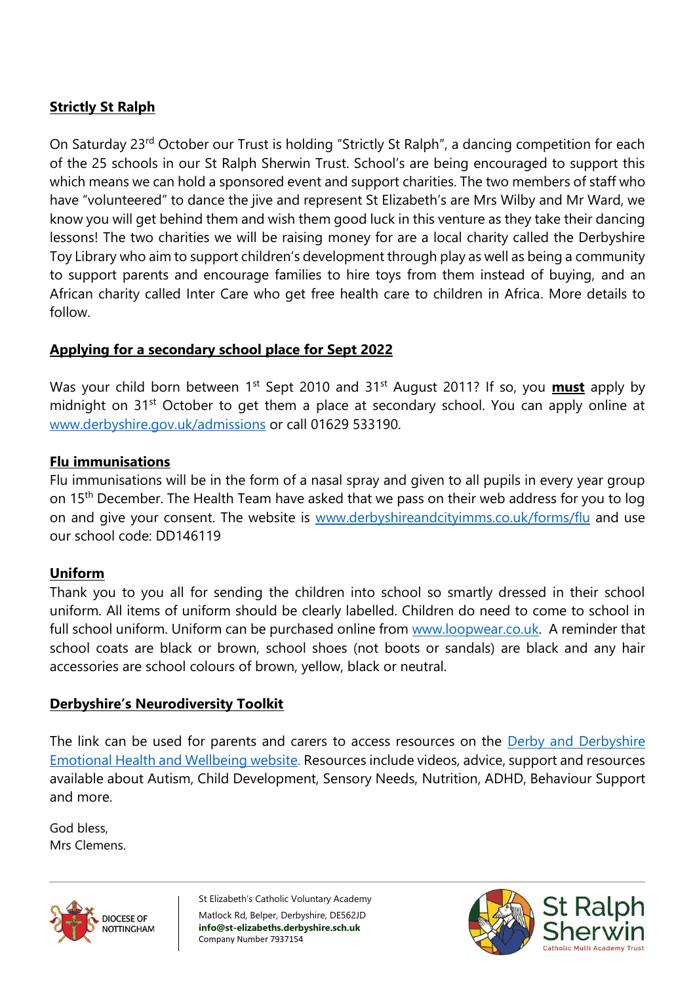# **Strictly St Ralph**

On Saturday 23rd October our Trust is holding "Strictly St Ralph", a dancing competition for each of the 25 schools in our St Ralph Sherwin Trust. School's are being encouraged to support this which means we can hold a sponsored event and support charities. The two members of staff who have "volunteered" to dance the jive and represent St Elizabeth's are Mrs Wilby and Mr Ward, we know you will get behind them and wish them good luck in this venture as they take their dancing lessons! The two charities we will be raising money for are a local charity called the Derbyshire Toy Library who aim to support children's development through play as well as being a community to support parents and encourage families to hire toys from them instead of buying, and an African charity called Inter Care who get free health care to children in Africa. More details to follow.

## **Applying for a secondary school place for Sept 2022**

Was your child born between 1<sup>st</sup> Sept 2010 and 31<sup>st</sup> August 2011? If so, you **must** apply by midnight on 31<sup>st</sup> October to get them a place at secondary school. You can apply online at [www.derbyshire.gov.uk/admissions](http://www.derbyshire.gov.uk/admissions) or call 01629 533190.

## **Flu immunisations**

Flu immunisations will be in the form of a nasal spray and given to all pupils in every year group on 15<sup>th</sup> December. The Health Team have asked that we pass on their web address for you to log on and give your consent. The website is [www.derbyshireandcityimms.co.uk/](http://www.derbyshireandcityimms.co.uk/)forms/flu and use our school code: DD146119

## **Uniform**

Thank you to you all for sending the children into school so smartly dressed in their school uniform. All items of uniform should be clearly labelled. Children do need to come to school in full school uniform. Uniform can be purchased online from [www.loopwear.co.uk.](http://www.loopwear.co.uk/) A reminder that school coats are black or brown, school shoes (not boots or sandals) are black and any hair accessories are school colours of brown, yellow, black or neutral.

## **Derbyshire's Neurodiversity Toolkit**

The link can be used for parents and carers to access resources on the Derby and [Derbyshire](https://lnks.gd/l/eyJhbGciOiJIUzI1NiJ9.eyJidWxsZXRpbl9saW5rX2lkIjoxMDYsInVyaSI6ImJwMjpjbGljayIsImJ1bGxldGluX2lkIjoiMjAyMTEwMTIuNDcyMDU0MTEiLCJ1cmwiOiJodHRwczovL2RlcmJ5YW5kZGVyYnlzaGlyZWVtb3Rpb25hbGhlYWx0aGFuZHdlbGxiZWluZy51ay8ifQ.6C4YBlZCd7VDn18Fid5QeJ5AYf2U-mrIgSmP2eMIyTk/s/1109389022/br/113737917400-l) [Emotional](https://lnks.gd/l/eyJhbGciOiJIUzI1NiJ9.eyJidWxsZXRpbl9saW5rX2lkIjoxMDYsInVyaSI6ImJwMjpjbGljayIsImJ1bGxldGluX2lkIjoiMjAyMTEwMTIuNDcyMDU0MTEiLCJ1cmwiOiJodHRwczovL2RlcmJ5YW5kZGVyYnlzaGlyZWVtb3Rpb25hbGhlYWx0aGFuZHdlbGxiZWluZy51ay8ifQ.6C4YBlZCd7VDn18Fid5QeJ5AYf2U-mrIgSmP2eMIyTk/s/1109389022/br/113737917400-l) Health and Wellbeing website. Resources include videos, advice, support and resources available about Autism, Child Development, Sensory Needs, Nutrition, ADHD, Behaviour Support and more.

God bless, Mrs Clemens.



St Elizabeth's Catholic Voluntary Academy Matlock Rd, Belper, Derbyshire, DE562JD **info@st-elizabeths.derbyshire.sch.uk** Company Number 7937154

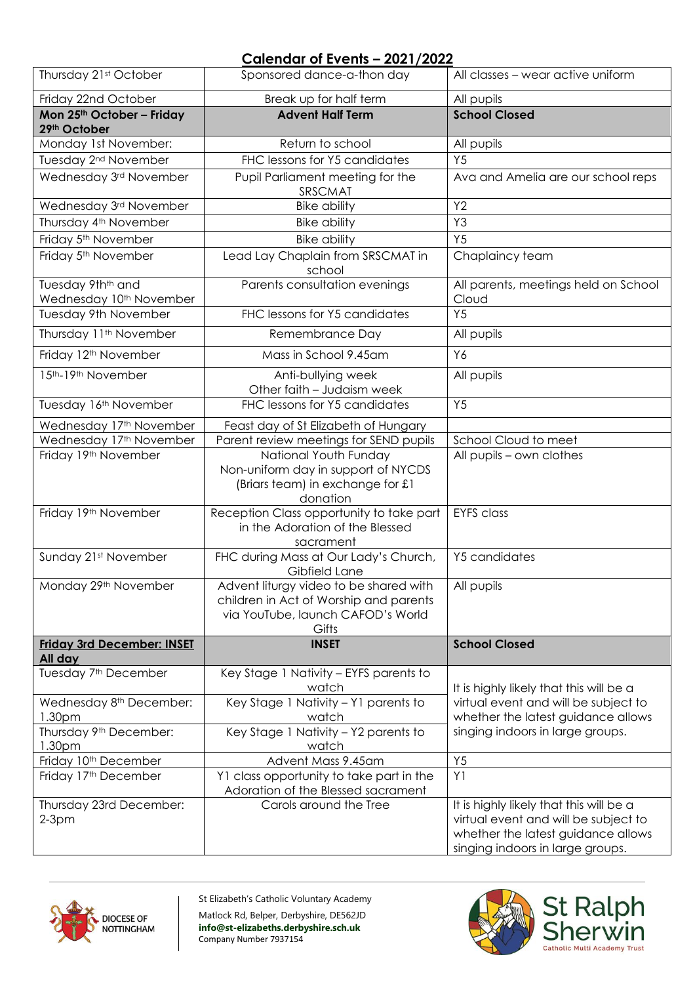#### **Calendar of Events – 2021/2022**

| Thursday 21st October                                                | Sponsored dance-a-thon day                                                                                                     | All classes - wear active uniform                                                                                                                         |
|----------------------------------------------------------------------|--------------------------------------------------------------------------------------------------------------------------------|-----------------------------------------------------------------------------------------------------------------------------------------------------------|
| Friday 22nd October                                                  | Break up for half term                                                                                                         | All pupils                                                                                                                                                |
| Mon 25th October - Friday<br>29th October                            | <b>Advent Half Term</b>                                                                                                        | <b>School Closed</b>                                                                                                                                      |
| Monday 1st November:                                                 | Return to school                                                                                                               | All pupils                                                                                                                                                |
| Tuesday 2 <sup>nd</sup> November                                     | FHC lessons for Y5 candidates                                                                                                  | Y <sub>5</sub>                                                                                                                                            |
| Wednesday 3rd November                                               | Pupil Parliament meeting for the<br>SRSCMAT                                                                                    | Ava and Amelia are our school reps                                                                                                                        |
| Wednesday 3rd November                                               | <b>Bike ability</b>                                                                                                            | Y2                                                                                                                                                        |
| Thursday 4 <sup>th</sup> November                                    | <b>Bike ability</b>                                                                                                            | Y3                                                                                                                                                        |
| Friday 5 <sup>th</sup> November                                      | <b>Bike ability</b>                                                                                                            | Y <sub>5</sub>                                                                                                                                            |
| Friday 5 <sup>th</sup> November                                      | Lead Lay Chaplain from SRSCMAT in<br>school                                                                                    | Chaplaincy team                                                                                                                                           |
| Tuesday 9th <sup>th</sup> and<br>Wednesday 10 <sup>th</sup> November | Parents consultation evenings                                                                                                  | All parents, meetings held on School<br>Cloud                                                                                                             |
| <b>Tuesday 9th November</b>                                          | FHC lessons for Y5 candidates                                                                                                  | Y <sub>5</sub>                                                                                                                                            |
| Thursday 11 <sup>th</sup> November                                   | Remembrance Day                                                                                                                | All pupils                                                                                                                                                |
| Friday 12 <sup>th</sup> November                                     | Mass in School 9.45am                                                                                                          | Y6                                                                                                                                                        |
| 15th-19th November                                                   | Anti-bullying week<br>Other faith - Judaism week                                                                               | All pupils                                                                                                                                                |
| Tuesday 16th November                                                | FHC lessons for Y5 candidates                                                                                                  | Y <sub>5</sub>                                                                                                                                            |
| Wednesday 17th November                                              | Feast day of St Elizabeth of Hungary                                                                                           |                                                                                                                                                           |
| Wednesday 17th November                                              | Parent review meetings for SEND pupils                                                                                         | School Cloud to meet                                                                                                                                      |
| Friday 19th November                                                 | National Youth Funday<br>Non-uniform day in support of NYCDS<br>(Briars team) in exchange for £1<br>donation                   | All pupils - own clothes                                                                                                                                  |
| Friday 19th November                                                 | Reception Class opportunity to take part<br>in the Adoration of the Blessed<br>sacrament                                       | <b>EYFS</b> class                                                                                                                                         |
| Sunday 21st November                                                 | FHC during Mass at Our Lady's Church,<br>Gibfield Lane                                                                         | Y5 candidates                                                                                                                                             |
| Monday 29th November                                                 | Advent liturgy video to be shared with<br>children in Act of Worship and parents<br>via YouTube, launch CAFOD's World<br>Gifts | All pupils                                                                                                                                                |
| <b>Friday 3rd December: INSET</b><br>All day                         | <b>INSET</b>                                                                                                                   | <b>School Closed</b>                                                                                                                                      |
| Tuesday 7 <sup>th</sup> December                                     | Key Stage 1 Nativity - EYFS parents to<br>watch                                                                                | It is highly likely that this will be a                                                                                                                   |
| Wednesday 8 <sup>th</sup> December:                                  | Key Stage 1 Nativity - Y1 parents to                                                                                           | virtual event and will be subject to                                                                                                                      |
| 1.30 <sub>pm</sub>                                                   | watch                                                                                                                          | whether the latest guidance allows                                                                                                                        |
| Thursday 9 <sup>th</sup> December:<br>1.30pm                         | Key Stage 1 Nativity - Y2 parents to<br>watch                                                                                  | singing indoors in large groups.                                                                                                                          |
| Friday 10 <sup>th</sup> December                                     | Advent Mass 9.45am                                                                                                             | Y5                                                                                                                                                        |
| Friday 17th December                                                 | Y1 class opportunity to take part in the<br>Adoration of the Blessed sacrament                                                 | Y1                                                                                                                                                        |
| Thursday 23rd December:<br>$2-3pm$                                   | Carols around the Tree                                                                                                         | It is highly likely that this will be a<br>virtual event and will be subject to<br>whether the latest guidance allows<br>singing indoors in large groups. |



St Elizabeth's Catholic Voluntary Academy Matlock Rd, Belper, Derbyshire, DE562JD **info@st-elizabeths.derbyshire.sch.uk** Company Number 7937154